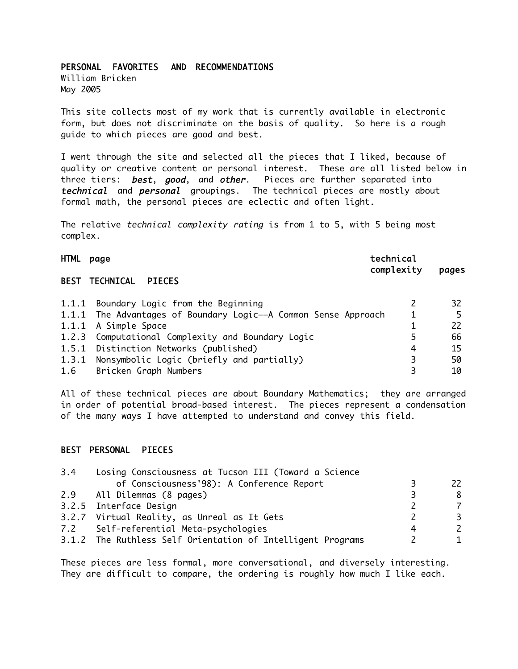### PERSONAL FAVORITES AND RECOMMENDATIONS

William Bricken May 2005

This site collects most of my work that is currently available in electronic form, but does not discriminate on the basis of quality. So here is a rough guide to which pieces are good and best.

I went through the site and selected all the pieces that I liked, because of quality or creative content or personal interest. These are all listed below in three tiers: **best**, good, and other. Pieces are further separated into technical and personal groupings. The technical pieces are mostly about formal math, the personal pieces are eclectic and often light.

The relative *technical complexity rating* is from 1 to 5, with 5 being most complex.

#### HTML page technical

complexity pages

### BEST TECHNICAL PIECES

| 1.1.1 Boundary Logic from the Beginning                         |   | 32 |
|-----------------------------------------------------------------|---|----|
| 1.1.1 The Advantages of Boundary Logic--A Common Sense Approach |   |    |
| 1.1.1 A Simple Space                                            |   |    |
| 1.2.3 Computational Complexity and Boundary Logic               |   | 66 |
| 1.5.1 Distinction Networks (published)                          | 4 | 15 |
| 1.3.1 Nonsymbolic Logic (briefly and partially)                 |   | 50 |
| 1.6 Bricken Graph Numbers                                       |   | 10 |

All of these technical pieces are about Boundary Mathematics; they are arranged in order of potential broad-based interest. The pieces represent a condensation of the many ways I have attempted to understand and convey this field.

#### BEST PERSONAL PIECES

| 3.4 | Losing Consciousness at Tucson III (Toward a Science        |     |
|-----|-------------------------------------------------------------|-----|
|     | of Consciousness'98): A Conference Report                   | 22. |
|     | 2.9 All Dilemmas (8 pages)                                  | 8   |
|     | 3.2.5 Interface Design                                      | 7   |
|     | 3.2.7 Virtual Reality, as Unreal as It Gets                 | 3.  |
|     | 7.2 Self-referential Meta-psychologies                      | 2   |
|     | 3.1.2 The Ruthless Self Orientation of Intelligent Programs |     |

These pieces are less formal, more conversational, and diversely interesting. They are difficult to compare, the ordering is roughly how much I like each.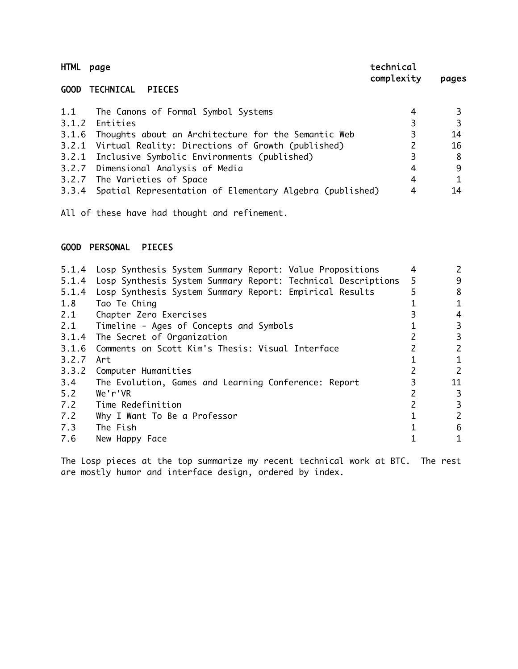| <b>HTML</b> | page                                                           | technical<br>complexity | pages |
|-------------|----------------------------------------------------------------|-------------------------|-------|
|             | <b>GOOD TECHNICAL</b><br><b>PIECES</b>                         |                         |       |
| 1.1         | The Canons of Formal Symbol Systems                            | 4                       |       |
| 3.1.2       | Entities                                                       | 3                       |       |
|             | 3.1.6 Thoughts about an Architecture for the Semantic Web      | 3                       | 14    |
| 3.2.1       | Virtual Reality: Directions of Growth (published)              | 2                       | 16    |
|             | 3.2.1 Inclusive Symbolic Environments (published)              | 3                       | 8     |
|             | 3.2.7 Dimensional Analysis of Media                            | 4                       | 9     |
|             | 3.2.7 The Varieties of Space                                   | 4                       |       |
|             | 3.3.4 Spatial Representation of Elementary Algebra (published) | 4                       | 14    |

All of these have had thought and refinement.

### GOOD PERSONAL PIECES

| 5.1.4 | Losp Synthesis System Summary Report: Value Propositions     | 4 | 2              |
|-------|--------------------------------------------------------------|---|----------------|
| 5.1.4 | Losp Synthesis System Summary Report: Technical Descriptions | 5 | 9              |
| 5.1.4 | Losp Synthesis System Summary Report: Empirical Results      | 5 | 8              |
| 1.8   | Tao Te Ching                                                 |   | 1              |
| 2.1   | Chapter Zero Exercises                                       |   | 4              |
| 2.1   | Timeline - Ages of Concepts and Symbols                      |   | 3              |
|       | 3.1.4 The Secret of Organization                             |   | 3              |
| 3.1.6 | Comments on Scott Kim's Thesis: Visual Interface             |   | 2              |
| 3.2.7 | Art                                                          |   | 1              |
| 3.3.2 | Computer Humanities                                          |   | $\mathsf{2}$   |
| 3.4   | The Evolution, Games and Learning Conference: Report         |   | 11             |
| 5.2   | We'r'VR                                                      |   | 3              |
| 7.2   | Time Redefinition                                            |   | $\overline{3}$ |
| 7.2   | Why I Want To Be a Professor                                 |   | $\mathsf{2}$   |
| 7.3   | The Fish                                                     |   | 6              |
| 7.6   | New Happy Face                                               |   |                |

The Losp pieces at the top summarize my recent technical work at BTC. The rest are mostly humor and interface design, ordered by index.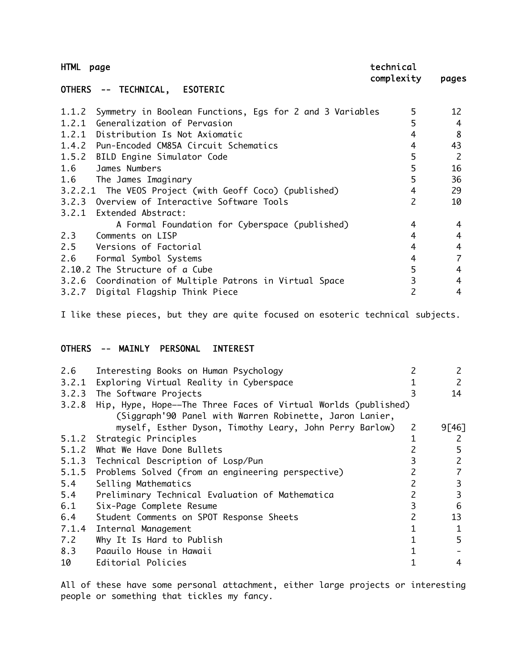| <b>HTML</b><br>page                                            | technical<br>complexity | pages        |
|----------------------------------------------------------------|-------------------------|--------------|
| OTHERS -- TECHNICAL,<br><b>ESOTERIC</b>                        |                         |              |
| 1.1.2 Symmetry in Boolean Functions, Egs for 2 and 3 Variables | 5                       | 12           |
| 1.2.1 Generalization of Pervasion                              | 5                       | 4            |
| 1.2.1 Distribution Is Not Axiomatic                            | 4                       | 8            |
| 1.4.2 Pun-Encoded CM85A Circuit Schematics                     | 4                       | 43           |
| 1.5.2 BILD Engine Simulator Code                               | 5                       | <sup>2</sup> |
| 1.6 James Numbers                                              | 5                       | 16           |
| 1.6<br>The James Imaginary                                     | 5                       | 36           |
| 3.2.2.1 The VEOS Project (with Geoff Coco) (published)         | $\overline{4}$          | 29           |
| 3.2.3 Overview of Interactive Software Tools                   | $\overline{c}$          | 10           |
| 3.2.1 Extended Abstract:                                       |                         |              |
| A Formal Foundation for Cyberspace (published)                 | 4                       | 4            |
| 2.3 Comments on LISP                                           | 4                       | 4            |
| 2.5<br>Versions of Factorial                                   | 4                       | 4            |
| 2.6<br>Formal Symbol Systems                                   | 4                       |              |
| 2.10.2 The Structure of a Cube                                 | 5                       | 4            |
| 3.2.6 Coordination of Multiple Patrons in Virtual Space        | 3                       | 4            |
| 3.2.7<br>Digital Flagship Think Piece                          | 2                       | 4            |

I like these pieces, but they are quite focused on esoteric technical subjects.

### OTHERS -- MAINLY PERSONAL INTEREST

| 2.6   | Interesting Books on Human Psychology                                |              | 2            |
|-------|----------------------------------------------------------------------|--------------|--------------|
|       | 3.2.1 Exploring Virtual Reality in Cyberspace                        |              | 2            |
|       | 3.2.3 The Software Projects                                          | 3            | 14           |
|       | 3.2.8 Hip, Hype, Hope--The Three Faces of Virtual Worlds (published) |              |              |
|       | (Siggraph'90 Panel with Warren Robinette, Jaron Lanier,              |              |              |
|       | myself, Esther Dyson, Timothy Leary, John Perry Barlow)              | $\mathsf{Z}$ | 9[46]        |
|       | 5.1.2 Strategic Principles                                           |              | 2            |
|       | 5.1.2 What We Have Done Bullets                                      |              | 5            |
|       | 5.1.3 Technical Description of Losp/Pun                              | 3            | $\mathsf{Z}$ |
|       | 5.1.5 Problems Solved (from an engineering perspective)              |              |              |
| 5.4   | Selling Mathematics                                                  |              | 3            |
| 5.4   | Preliminary Technical Evaluation of Mathematica                      |              | 3            |
| 6.1   | Six-Page Complete Resume                                             | 3            | 6            |
| 6.4   | Student Comments on SPOT Response Sheets                             | 2            | 13           |
| 7.1.4 | Internal Management                                                  |              |              |
| 7.2   | Why It Is Hard to Publish                                            |              | 5            |
| 8.3   | Paauilo House in Hawaii                                              |              |              |
| 10    | Editorial Policies                                                   |              | 4            |
|       |                                                                      |              |              |

All of these have some personal attachment, either large projects or interesting people or something that tickles my fancy.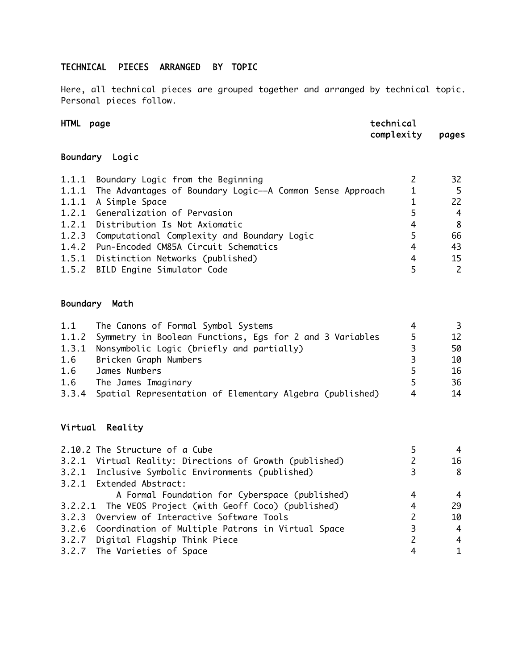## TECHNICAL PIECES ARRANGED BY TOPIC

Here, all technical pieces are grouped together and arranged by technical topic. Personal pieces follow.

| HTML     | page                                                            | technical<br>complexity | pages |
|----------|-----------------------------------------------------------------|-------------------------|-------|
| Boundary | Logic                                                           |                         |       |
| 1.1.1    | Boundary Logic from the Beginning                               |                         | 32    |
|          | 1.1.1 The Advantages of Boundary Logic--A Common Sense Approach |                         |       |
| 1.1.1    | A Simple Space                                                  |                         | 22    |
|          | 1.2.1 Generalization of Pervasion                               |                         | 4     |
| 1.2.1    | Distribution Is Not Axiomatic                                   | 4                       | 8     |
|          | 1.2.3 Computational Complexity and Boundary Logic               | 5                       | 66    |
|          | 1.4.2 Pun-Encoded CM85A Circuit Schematics                      | 4                       | 43    |

1.5.1 Distinction Networks (published) 4 15 1.5.2 BILD Engine Simulator Code 5 2

# Boundary Math

| 1.1 | The Canons of Formal Symbol Systems                            |    | 3  |
|-----|----------------------------------------------------------------|----|----|
|     | 1.1.2 Symmetry in Boolean Functions, Eqs for 2 and 3 Variables | 5  | 12 |
|     | 1.3.1 Nonsymbolic Logic (briefly and partially)                | 3. | 50 |
| 1.6 | Bricken Graph Numbers                                          | 3  | 10 |
| 1.6 | James Numbers                                                  |    | 16 |
| 1.6 | The James Imaginary                                            | 5  | 36 |
|     | 3.3.4 Spatial Representation of Elementary Algebra (published) | 4  | 14 |

## Virtual Reality

| 2.10.2 The Structure of a Cube                          |   |    |
|---------------------------------------------------------|---|----|
| 3.2.1 Virtual Reality: Directions of Growth (published) |   | 16 |
| 3.2.1 Inclusive Symbolic Environments (published)       |   | 8  |
| 3.2.1 Extended Abstract:                                |   |    |
| A Formal Foundation for Cyberspace (published)          | 4 | 4  |
| 3.2.2.1 The VEOS Project (with Geoff Coco) (published)  | 4 | 29 |
| 3.2.3 Overview of Interactive Software Tools            |   | 10 |
| 3.2.6 Coordination of Multiple Patrons in Virtual Space |   | 4  |
| 3.2.7 Digital Flagship Think Piece                      |   | 4  |
| 3.2.7 The Varieties of Space                            |   |    |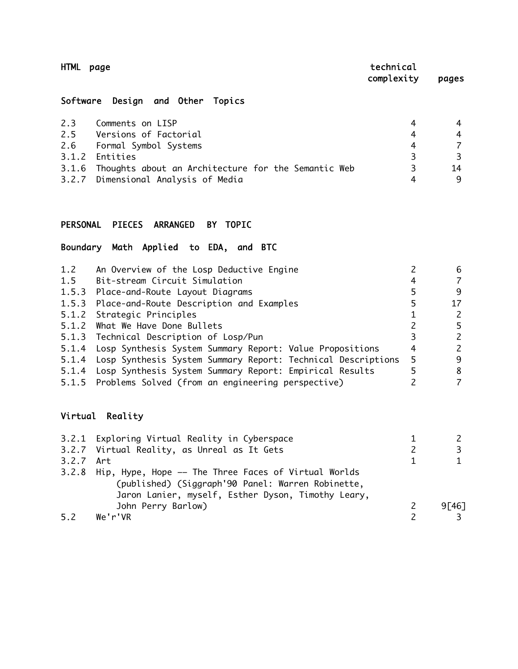| HTML page      |                                  | technical<br>complexity | pages |
|----------------|----------------------------------|-------------------------|-------|
|                | Software Design and Other Topics |                         |       |
| 2.3            | Comments on LISP                 | 4                       | 4     |
| 2.5            | Versions of Factorial            | 4                       | 4     |
| 2.6            | Formal Symbol Systems            | 4                       |       |
| 3 1 2 Fntities |                                  |                         |       |

3.1.2 Entities 3<br>3.1.6 Thoughts about an Architecture for the Semantic Web 3<br>3.2.7 Dimensional Analysic of Madic 3.1.6 Thoughts about an Architecture for the Semantic Web 3<br>3.2.7 Dimensional Analysis of Media 3.2.7 Dimensional Analysis of Media 4 9

## PERSONAL PIECES ARRANGED BY TOPIC

## Boundary Math Applied to EDA, and BTC

| 1.2 | An Overview of the Losp Deductive Engine                           |     | 6  |
|-----|--------------------------------------------------------------------|-----|----|
| 1.5 | Bit-stream Circuit Simulation                                      |     | 7  |
|     | 1.5.3 Place-and-Route Layout Diagrams                              |     | 9  |
|     | 1.5.3 Place-and-Route Description and Examples                     | 5   | 17 |
|     | 5.1.2 Strategic Principles                                         |     | 2  |
|     | 5.1.2 What We Have Done Bullets                                    |     | 5  |
|     | 5.1.3 Technical Description of Losp/Pun                            |     | 2  |
|     | 5.1.4 Losp Synthesis System Summary Report: Value Propositions     | 4   | 2  |
|     | 5.1.4 Losp Synthesis System Summary Report: Technical Descriptions | - 5 | 9  |
|     | 5.1.4 Losp Synthesis System Summary Report: Empirical Results      |     | 8  |
|     | 5.1.5 Problems Solved (from an engineering perspective)            |     | 7  |
|     |                                                                    |     |    |

# Virtual Reality

|           | 3.2.1 Exploring Virtual Reality in Cyberspace              |          |
|-----------|------------------------------------------------------------|----------|
|           | 3.2.7 Virtual Reality, as Unreal as It Gets                |          |
| 3.2.7 Art |                                                            |          |
|           | 3.2.8 Hip, Hype, Hope -- The Three Faces of Virtual Worlds |          |
|           | (published) (Siggraph'90 Panel: Warren Robinette,          |          |
|           | Jaron Lanier, myself, Esther Dyson, Timothy Leary,         |          |
|           | John Perry Barlow)                                         | 9 [ 46 ] |
| 5.2       | We'r'VR                                                    |          |